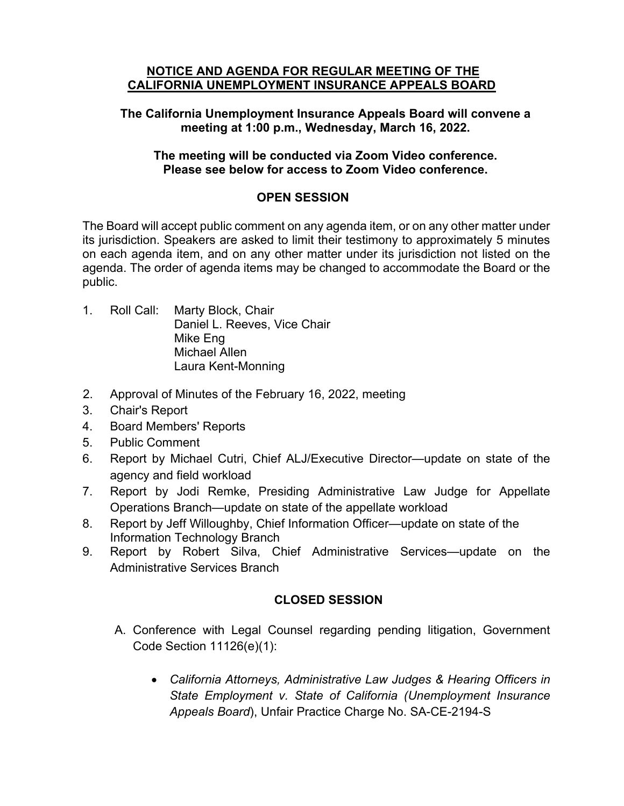#### **NOTICE AND AGENDA FOR REGULAR MEETING OF THE CALIFORNIA UNEMPLOYMENT INSURANCE APPEALS BOARD**

### **The California Unemployment Insurance Appeals Board will convene a meeting at 1:00 p.m., Wednesday, March 16, 2022.**

#### **The meeting will be conducted via Zoom Video conference. Please see below for access to Zoom Video conference.**

## **OPEN SESSION**

The Board will accept public comment on any agenda item, or on any other matter under its jurisdiction. Speakers are asked to limit their testimony to approximately 5 minutes on each agenda item, and on any other matter under its jurisdiction not listed on the agenda. The order of agenda items may be changed to accommodate the Board or the public.

- 1. Roll Call: Marty Block, Chair Daniel L. Reeves, Vice Chair Mike Eng Michael Allen Laura Kent-Monning
- 2. Approval of Minutes of the February 16, 2022, meeting
- 3. Chair's Report
- 4. Board Members' Reports
- 5. Public Comment
- 6. Report by Michael Cutri, Chief ALJ/Executive Director—update on state of the agency and field workload
- 7. Report by Jodi Remke, Presiding Administrative Law Judge for Appellate Operations Branch—update on state of the appellate workload
- 8. Report by Jeff Willoughby, Chief Information Officer—update on state of the Information Technology Branch
- 9. Report by Robert Silva, Chief Administrative Services—update on the Administrative Services Branch

# **CLOSED SESSION**

- A. Conference with Legal Counsel regarding pending litigation, Government Code Section 11126(e)(1):
	- *California Attorneys, Administrative Law Judges & Hearing Officers in State Employment v. State of California (Unemployment Insurance Appeals Board*), Unfair Practice Charge No. SA-CE-2194-S